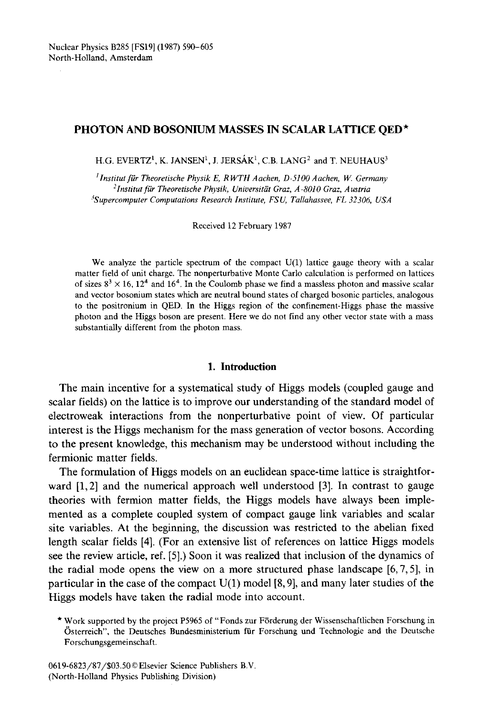# **PHOTON AND BOSONIUM MASSES IN SCALAR LATTICE QED\***

H.G. EVERTZ<sup>1</sup>, K. JANSEN<sup>1</sup>, J. JERSÁK<sup>1</sup>, C.B. LANG<sup>2</sup> and T. NEUHAUS<sup>3</sup>

*l lnstitut fiir Theoretische Physik E, R WTH Aachen, D -51 O0 Aachen, IV. Germany 'Institut fiir Theoretisehe Physik, Universitiit Graz, A-8010 Graz, Austria ¢Supercomputer Computations Research Institute, FSU, Tallahassee, FL 32306, USA* 

**Received** 12 February 1987

We **analyze the** particle spectrum **of the compact U(1) lattice gauge theory with** a scalar **matter field of unit charge. The nonperturbative Monte Carlo calculation is performed on lattices**  of sizes  $8^3 \times 16$ ,  $12^4$  and  $16^4$ . In the Coulomb phase we find a massless photon and massive scalar **and vector bosonium states which are neutral bound states of charged** bosonic particles, **analogous to the positronium in** QED. In **the Higgs region of the confinement-Higgs phase the massive photon and the Higgs boson are** present. Here **we do not find any other vector state with** a mass substantially **different from the photon** mass.

## **1. Introduction**

**The main incentive for a systematical study of Higgs models (coupled gauge and scalar fields) on the lattice is to improve our understanding of the standard model of electroweak interactions from the nonperturbative point of view. Of particular interest is the Higgs mechanism for the mass generation of vector bosons. According to the present knowledge, this mechanism may be understood without including the fermionic matter fields.** 

**The formulation of Higgs models on an euclidean space-time lattice is straightforward [1, 2] and the numerical approach well understood [3]. In contrast to gauge theories with fermion matter fields, the Higgs models have always been implemented as a complete coupled system of compact gauge link variables and scalar site variables. At the beginning, the discussion was restricted to the abelian fixed length scalar fields [4]. (For an extensive list of references on lattice Higgs models see the review article, ref. [5].) Soon it was realized that inclusion of the dynamics of the radial mode opens the view on a more structured phase landscape [6, 7, 5], in particular in the case of the compact U(1) model [8, 9], and many later studies of the Higgs models have taken the radial mode into account.** 

<sup>\*</sup> Work supported by **the project P5965 of "Fonds** zur Frrderung **der Wissenschaftlichen** Forschung in Osterreich", the Deutsches Bundesministerium fiir Forschung **und Technologie and the** Deutsche **Forschungsgemeinschaft.**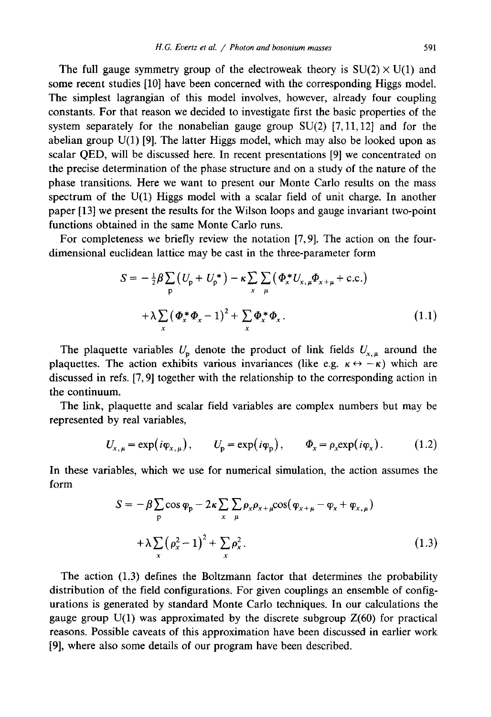The full gauge symmetry group of the electroweak theory is  $SU(2) \times U(1)$  and some recent studies [10] have been concerned with the corresponding Higgs model. The simplest lagrangian of this model involves, however, already four coupling constants. For that reason we decided to investigate first the basic properties of the system separately for the nonabelian gauge group  $SU(2)$  [7, 11, 12] and for the abelian group  $U(1)$  [9]. The latter Higgs model, which may also be looked upon as scalar QED, will be discussed here. In recent presentations [9] we concentrated on the precise determination of the phase structure and on a study of the nature of the phase transitions. Here we want to present our Monte Carlo results on the mass spectrum of the U(1) Higgs model with a scalar field of unit charge. In another paper [13] we present the results for the Wilson loops and gauge invariant two-point functions obtained in the same Monte Carlo runs.

For completeness we briefly review the notation [7, 9]. The action on the fourdimensional euclidean lattice may be cast in the three-parameter form

$$
S = -\frac{1}{2}\beta \sum_{p} \left(U_{p} + U_{p}^{*}\right) - \kappa \sum_{x} \sum_{\mu} \left(\Phi_{x}^{*} U_{x,\mu} \Phi_{x+\mu} + \text{c.c.}\right)
$$

$$
+ \lambda \sum_{x} \left(\Phi_{x}^{*} \Phi_{x} - 1\right)^{2} + \sum_{x} \Phi_{x}^{*} \Phi_{x}. \tag{1.1}
$$

The plaquette variables  $U_p$  denote the product of link fields  $U_{x,\mu}$  around the plaquettes. The action exhibits various invariances (like e.g.  $\kappa \leftrightarrow -\kappa$ ) which are discussed in refs. [7, 9] together with the relationship to the corresponding action in the continuum.

The link, plaquette and scalar field variables are complex numbers but may be represented by real variables,

$$
U_{x,\mu} = \exp(i\varphi_{x,\mu}), \qquad U_p = \exp(i\varphi_p), \qquad \Phi_x = \rho_x \exp(i\varphi_x). \tag{1.2}
$$

In these variables, which we use for numerical simulation, the action assumes the form

$$
S = -\beta \sum_{p} \cos \varphi_{p} - 2\kappa \sum_{x} \sum_{\mu} \rho_{x} \rho_{x+\mu} \cos(\varphi_{x+\mu} - \varphi_{x} + \varphi_{x,\mu})
$$
  
+  $\lambda \sum_{x} (\rho_{x}^{2} - 1)^{2} + \sum_{x} \rho_{x}^{2}$ . (1.3)

The action (1.3) defines the Boltzmann factor that determines the probability distribution of the field configurations. For given couplings an ensemble of configurations is generated by standard Monte Carlo techniques. In our calculations the gauge group  $U(1)$  was approximated by the discrete subgroup  $Z(60)$  for practical reasons. Possible caveats of this approximation have been discussed in earlier work [9], where also some details of our program have been described.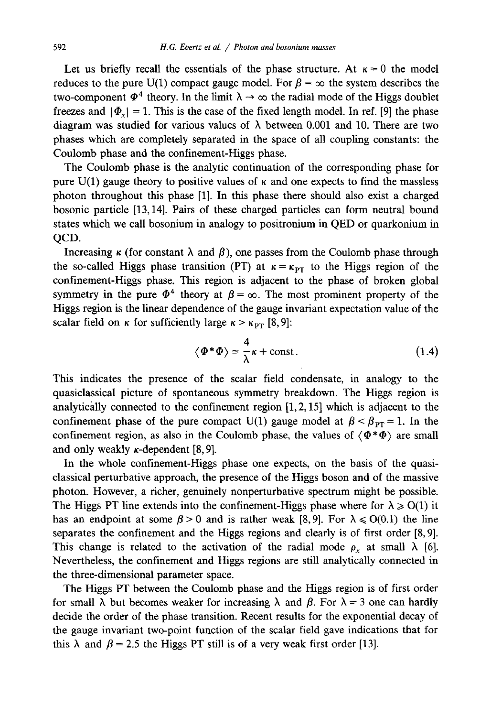Let us briefly recall the essentials of the phase structure. At  $\kappa = 0$  the model reduces to the pure U(1) compact gauge model. For  $\beta = \infty$  the system describes the two-component  $\Phi^4$  theory. In the limit  $\lambda \rightarrow \infty$  the radial mode of the Higgs doublet freezes and  $|\Phi_x| = 1$ . This is the case of the fixed length model. In ref. [9] the phase diagram was studied for various values of  $\lambda$  between 0.001 and 10. There are two phases which are completely separated in the space of all coupling constants: the Coulomb phase and the confinement-Higgs phase.

The Coulomb phase is the analytic continuation of the corresponding phase for pure  $U(1)$  gauge theory to positive values of  $\kappa$  and one expects to find the massless photon throughout this phase [1]. In this phase there should also exist a charged bosonic particle [13,14]. Pairs of these charged particles can form neutral bound states which we call bosonium in analogy to positronium in QED or quarkonium in QCD.

Increasing  $\kappa$  (for constant  $\lambda$  and  $\beta$ ), one passes from the Coulomb phase through the so-called Higgs phase transition (PT) at  $\kappa = \kappa_{PT}$  to the Higgs region of the confinement-Higgs phase. This region is adjacent to the phase of broken global symmetry in the pure  $\Phi^4$  theory at  $\beta = \infty$ . The most prominent property of the Higgs region is the linear dependence of the gauge invariant expectation value of the scalar field on  $\kappa$  for sufficiently large  $\kappa > \kappa_{PT}$  [8,9]:

$$
\langle \Phi^* \Phi \rangle \simeq \frac{4}{\lambda} \kappa + \text{const.} \tag{1.4}
$$

This indicates the presence of the scalar field condensate, in analogy to the quasiclassical picture of spontaneous symmetry breakdown. The Higgs region is analytically connected to the confinement region  $[1, 2, 15]$  which is adjacent to the confinement phase of the pure compact U(1) gauge model at  $\beta < \beta_{\text{PT}} \approx 1$ . In the confinement region, as also in the Coulomb phase, the values of  $\langle \Phi^* \Phi \rangle$  are small and only weakly  $\kappa$ -dependent [8, 9].

In the whole confinement-Higgs phase one expects, on the basis of the quasiclassical perturbative approach, the presence of the Higgs boson and of the massive photon. However, a richer, genuinely nonperturbative spectrum might be possible. The Higgs PT line extends into the confinement-Higgs phase where for  $\lambda \ge 0(1)$  it has an endpoint at some  $\beta > 0$  and is rather weak [8,9]. For  $\lambda \le 0$ (0.1) the line separates the confinement and the Higgs regions and clearly is of first order [8, 9]. This change is related to the activation of the radial mode  $\rho_x$  at small  $\lambda$  [6]. Nevertheless, the confinement and Higgs regions are still analytically connected in the three-dimensional parameter space.

The Higgs PT between the Coulomb phase and the Higgs region is of first order for small  $\lambda$  but becomes weaker for increasing  $\lambda$  and  $\beta$ . For  $\lambda = 3$  one can hardly decide the order of the phase transition. Recent results for the exponential decay of the gauge invariant two-point function of the scalar field gave indications that for this  $\lambda$  and  $\beta = 2.5$  the Higgs PT still is of a very weak first order [13].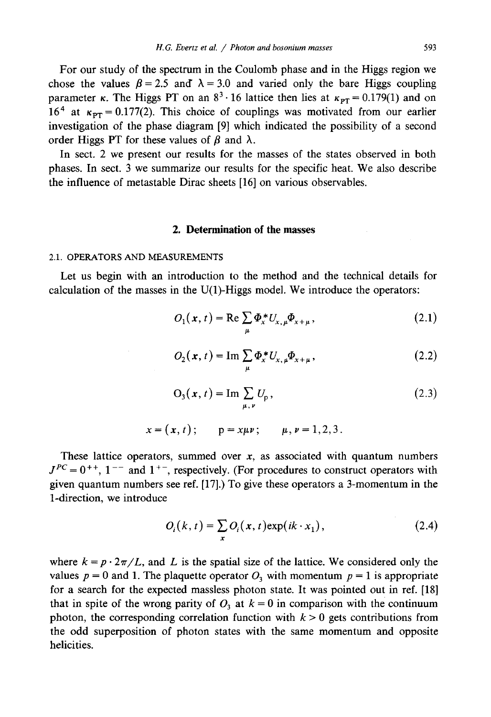For our study of the spectrum in the Coulomb phase and in the Higgs region we chose the values  $\beta = 2.5$  and  $\lambda = 3.0$  and varied only the bare Higgs coupling parameter  $\kappa$ . The Higgs PT on an  $8^3 \cdot 16$  lattice then lies at  $\kappa_{PT} = 0.179(1)$  and on 16<sup>4</sup> at  $\kappa_{PT} = 0.177(2)$ . This choice of couplings was motivated from our earlier investigation of the phase diagram [9] which indicated the possibility of a second order Higgs PT for these values of  $\beta$  and  $\lambda$ .

In sect. 2 we present our results for the masses of the states observed in both phases. In sect. 3 we summarize our results for the specific heat. We also describe the influence of metastable Dirac sheets [16] on various observables.

### **2. Determination of the masses**

#### 2.1. OPERATORS AND MEASUREMENTS

Let us begin with an introduction to the method and the technical details for calculation of the masses in the U(1)-Higgs model. We introduce the operators:

$$
O_1(\mathbf{x}, t) = \text{Re} \sum_{\mu} \Phi_x^* U_{x, \mu} \Phi_{x + \mu}, \qquad (2.1)
$$

$$
O_2(\mathbf{x}, t) = \operatorname{Im} \sum_{\mu} \Phi_x^* U_{x, \mu} \Phi_{x+\mu},
$$
\n(2.2)

$$
O_3(x, t) = \operatorname{Im} \sum_{\mu, \nu} U_p, \qquad (2.3)
$$

$$
x = (x, t);
$$
  $p = x \mu v;$   $\mu, \nu = 1, 2, 3.$ 

These lattice operators, summed over  $x$ , as associated with quantum numbers  $J^{PC} = 0^{++}$ , 1<sup>--</sup> and 1<sup>+-</sup>, respectively. (For procedures to construct operators with given quantum numbers see ref. [17].) To give these operators a 3-momentum in the 1-direction, we introduce

$$
O_i(k, t) = \sum_{\mathbf{x}} O_i(\mathbf{x}, t) \exp(ik \cdot \mathbf{x}_1), \qquad (2.4)
$$

where  $k = p \cdot 2\pi/L$ , and L is the spatial size of the lattice. We considered only the values  $p = 0$  and 1. The plaquette operator  $O_3$  with momentum  $p = 1$  is appropriate for a search for the expected massless photon state. It was pointed out in ref. [18] that in spite of the wrong parity of  $O_3$  at  $k = 0$  in comparison with the continuum photon, the corresponding correlation function with  $k > 0$  gets contributions from the odd superposition of photon states with the same momentum and opposite helicities.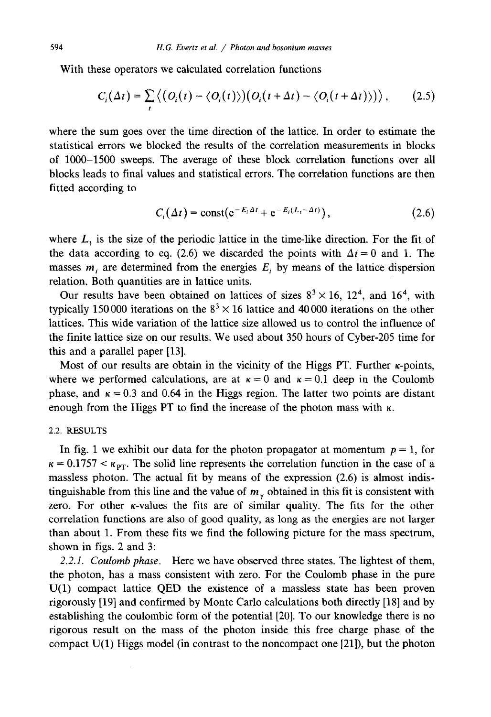With these operators we calculated correlation functions

$$
C_i(\Delta t) = \sum_t \left\langle \left( O_i(t) - \langle O_i(t) \rangle \right) \left( O_i(t + \Delta t) - \langle O_i(t + \Delta t) \rangle \right) \right\rangle, \tag{2.5}
$$

where the sum goes over the time direction of the lattice. In order to estimate the statistical errors we blocked the results of the correlation measurements in blocks of 1000-1500 sweeps. The average of these block correlation functions over all blocks leads to final values and statistical errors. The correlation functions are then fitted according to

$$
C_i(\Delta t) = \text{const}(e^{-E_i \Delta t} + e^{-E_i (L_i - \Delta t)}), \qquad (2.6)
$$

where  $L_t$  is the size of the periodic lattice in the time-like direction. For the fit of the data according to eq. (2.6) we discarded the points with  $\Delta t = 0$  and 1. The masses  $m_i$  are determined from the energies  $E_i$  by means of the lattice dispersion relation. Both quantities are in lattice units.

Our results have been obtained on lattices of sizes  $8^3 \times 16$ ,  $12^4$ , and  $16^4$ , with typically 150 000 iterations on the  $8<sup>3</sup> \times 16$  lattice and 40 000 iterations on the other lattices. This wide variation of the lattice size allowed us to control the influence of the finite lattice size on our results. We used about 350 hours of Cyber-205 time for this and a parallel paper [13].

Most of our results are obtain in the vicinity of the Higgs PT. Further  $\kappa$ -points, where we performed calculations, are at  $\kappa = 0$  and  $\kappa = 0.1$  deep in the Coulomb phase, and  $\kappa = 0.3$  and 0.64 in the Higgs region. The latter two points are distant enough from the Higgs PT to find the increase of the photon mass with  $\kappa$ .

### 2.2, RESULTS

In fig. 1 we exhibit our data for the photon propagator at momentum  $p = 1$ , for  $\kappa = 0.1757 < \kappa_{PT}$ . The solid line represents the correlation function in the case of a massless photon. The actual fit by means of the expression (2.6) is almost indistinguishable from this line and the value of  $m<sub>v</sub>$  obtained in this fit is consistent with zero. For other x-values the fits are of similar quality. The fits for the other correlation functions are also of good quality, as long as the energies are not larger than about 1. From these fits we find the following picture for the mass spectrum, shown in figs. 2 and 3:

*2.2.1. Coulomb phase.* Here we have observed three states. The lightest of them, the photon, has a mass consistent with zero. For the Coulomb phase in the pure U(1) compact lattice QED the existence of a massless state has been proven rigorously [19] and confirmed by Monte Carlo calculations both directly [18] and by establishing the coulombic form of the potential [20]. To our knowledge there is no rigorous result on the mass of the photon inside this free charge phase of the compact U(1) Higgs model (in contrast to the noncompact one [21]), but the photon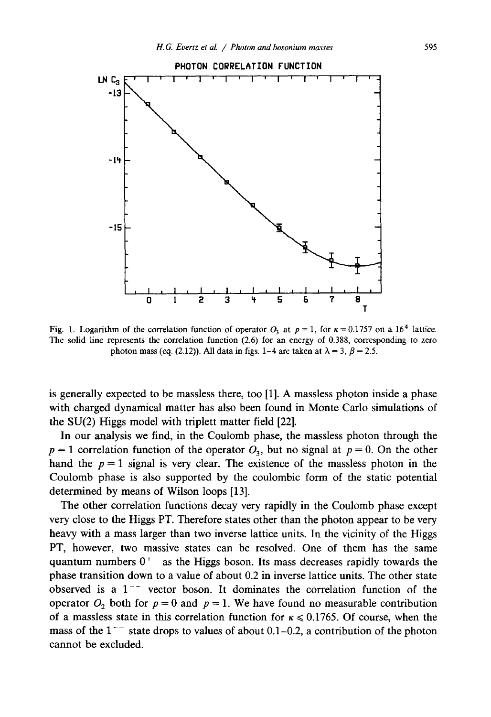

Fig. 1. Logarithm of the correlation function of operator  $O_3$  at  $p = 1$ , for  $\kappa = 0.1757$  on a 16<sup>4</sup> lattice. The solid line represents the correlation function (2.6) for an energy of 0.388, corresponding to zero photon mass (eq. (2.12)). All data in figs. 1–4 are taken at  $\lambda = 3$ ,  $\beta = 2.5$ .

is generally expected to be massless there, too [1]. A massless photon inside a phase with charged dynamical matter has also been found in Monte Carlo simulations of the SU(2) Higgs model with triplett matter field [22].

In our analysis we find, in the Coulomb phase, the massless photon through the  $p = 1$  correlation function of the operator  $O_3$ , but no signal at  $p = 0$ . On the other hand the  $p = 1$  signal is very clear. The existence of the massless photon in the Coulomb phase is also supported by the coulombic form of the static potential determined by means of Wilson loops [13].

The other correlation functions decay very rapidly in the Coulomb phase except very close to the Higgs PT. Therefore states other than the photon appear to be very heavy with a mass larger than two inverse lattice units. In the vicinity of the Higgs PT, however, two massive states can be resolved. One of them has the same quantum numbers  $0^{++}$  as the Higgs boson. Its mass decreases rapidly towards the phase transition down to a value of about 0.2 in inverse lattice units. The other state observed is a  $1<sup>-</sup>$  vector boson. It dominates the correlation function of the operator  $O_2$  both for  $p = 0$  and  $p = 1$ . We have found no measurable contribution of a massless state in this correlation function for  $\kappa \le 0.1765$ . Of course, when the mass of the  $1^{--}$  state drops to values of about 0.1–0.2, a contribution of the photon cannot be excluded.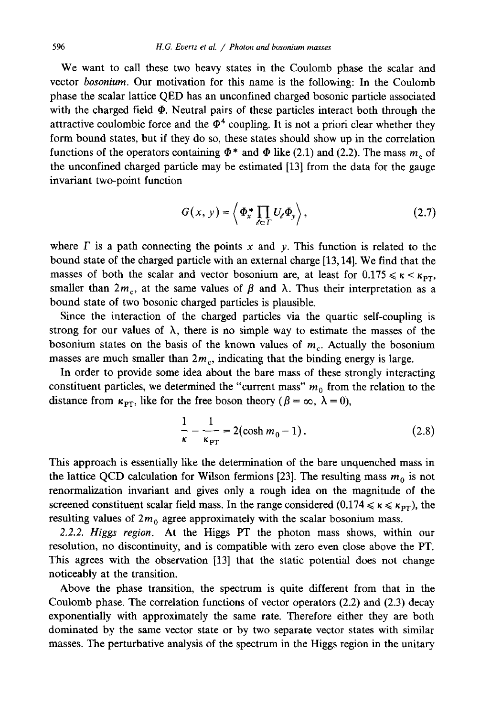We want to call these two heavy states in the Coulomb phase the scalar and vector *bosonium.* Our motivation for this name is the following: In the Coulomb phase the scalar lattice QED has an unconfined charged bosonic particle associated with the charged field  $\Phi$ . Neutral pairs of these particles interact both through the attractive coulombic force and the  $\Phi^4$  coupling. It is not a priori clear whether they form bound states, but if they do so, these states should show up in the correlation functions of the operators containing  $\Phi^*$  and  $\Phi$  like (2.1) and (2.2). The mass  $m_e$  of the unconfined charged particle may be estimated [13] from the data for the gauge invariant two-point function

$$
G(x, y) = \left\langle \Phi_x^* \prod_{\ell \in \Gamma} U_\ell \Phi_y \right\rangle, \tag{2.7}
$$

where  $\Gamma$  is a path connecting the points x and y. This function is related to the bound state of the charged particle with an external charge [13,14]. We find that the masses of both the scalar and vector bosonium are, at least for  $0.175 \le \kappa \le \kappa_{PT}$ , smaller than  $2m_c$ , at the same values of  $\beta$  and  $\lambda$ . Thus their interpretation as a bound state of two bosonic charged particles is plausible.

Since the interaction of the charged particles via the quartic self-coupling is strong for our values of  $\lambda$ , there is no simple way to estimate the masses of the bosonium states on the basis of the known values of  $m_c$ . Actually the bosonium masses are much smaller than  $2m_c$ , indicating that the binding energy is large.

In order to provide some idea about the bare mass of these strongly interacting constituent particles, we determined the "current mass"  $m_0$  from the relation to the distance from  $\kappa_{PT}$ , like for the free boson theory ( $\beta = \infty$ ,  $\lambda = 0$ ),

$$
\frac{1}{\kappa} - \frac{1}{\kappa_{\rm PT}} = 2(\cosh m_0 - 1). \tag{2.8}
$$

This approach is essentially like the determination of the bare unquenched mass in the lattice QCD calculation for Wilson fermions [23]. The resulting mass  $m_0$  is not renormalization invariant and gives only a rough idea on the magnitude of the screened constituent scalar field mass. In the range considered (0.174  $\leq \kappa \leq \kappa_{PT}$ ), the resulting values of  $2m_0$  agree approximately with the scalar bosonium mass.

*2.2.2. Higgs region.* At the Higgs PT the photon mass shows, within our resolution, no discontinuity, and is compatible with zero even close above the PT. This agrees with the observation [13] that the static potential does not change noticeably at the transition.

Above the phase transition, the spectrum is quite different from that in the Coulomb phase. The correlation functions of vector operators (2.2) and (2.3) decay exponentially with approximately the same rate. Therefore either they are both dominated by the same vector state or by two separate vector states with similar masses. The perturbative analysis of the spectrum in the Higgs region in the unitary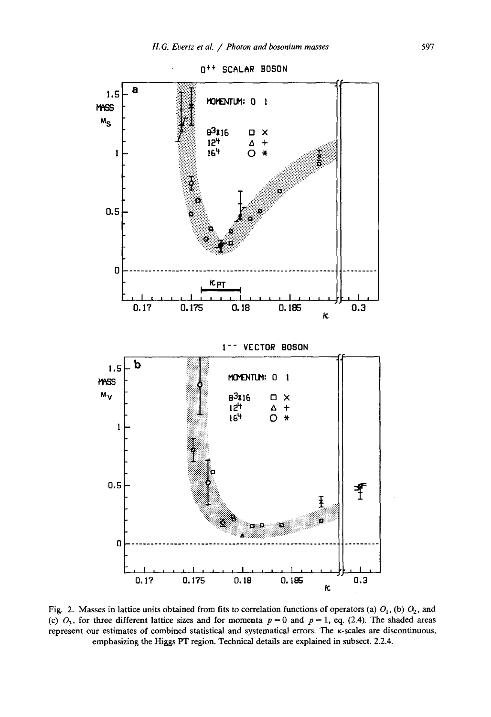

Fig. 2. Masses in lattice units obtained from fits to correlation functions of operators (a)  $O_1$ , (b)  $O_2$ , and (c)  $O_3$ , for three different lattice sizes and for momenta  $p = 0$  and  $p = 1$ , eq. (2.4). The shaded areas represent our estimates of combined statistical and systematical errors. The k-scales are discontinuous, emphasizing the Higgs PT region. Technical details are explained in subsect. 2.2.4.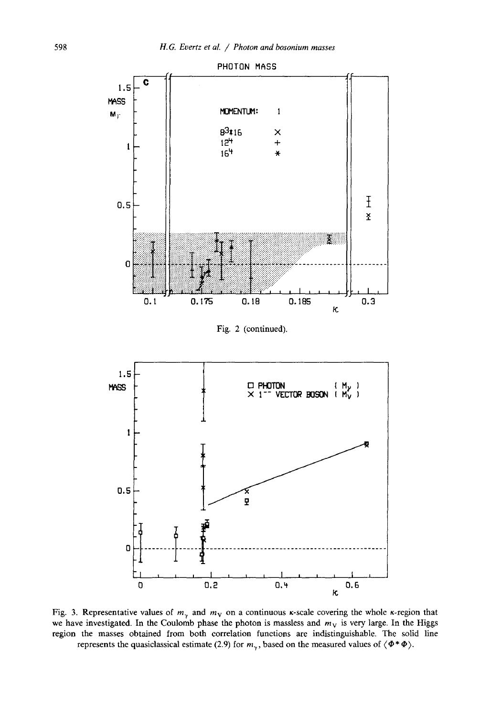

Fig. 3. Representative values of  $m<sub>y</sub>$  and  $m<sub>y</sub>$  on a continuous  $\kappa$ -scale covering the whole  $\kappa$ -region that we have investigated. In the Coulomb phase the photon is massless and  $m<sub>V</sub>$  is very large. In the Higgs region the masses obtained from both correlation functions are indistinguishable. The solid line represents the quasiclassical estimate (2.9) for  $m_{\gamma}$ , based on the measured values of  $\langle \Phi^* \Phi \rangle$ .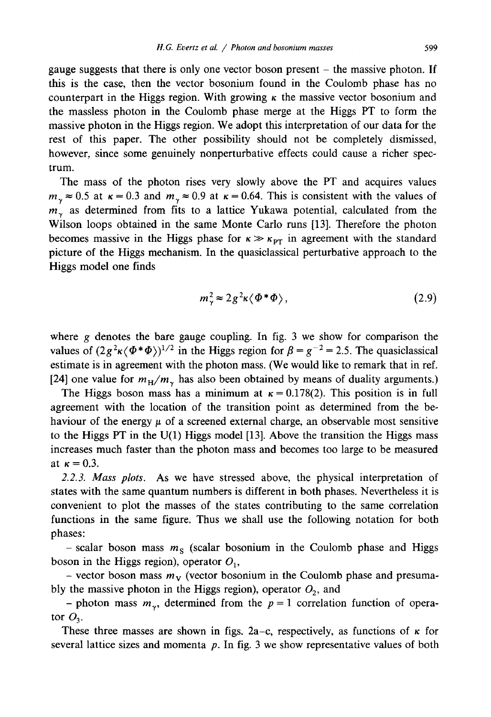gauge suggests that there is only one vector boson present - the massive photon. If this is the case, then the vector bosonium found in the Coulomb phase has no counterpart in the Higgs region. With growing  $\kappa$  the massive vector bosonium and the massless photon in the Coulomb phase merge at the Higgs PT to form the massive photon in the Higgs region. We adopt this interpretation of our data for the rest of this paper. The other possibility should not be completely dismissed, however, since some genuinely nonperturbative effects could cause a richer spectrum.

The mass of the photon rises very slowly above the PT and acquires values  $m_v \approx 0.5$  at  $\kappa = 0.3$  and  $m_v \approx 0.9$  at  $\kappa = 0.64$ . This is consistent with the values of  $m<sub>v</sub>$  as determined from fits to a lattice Yukawa potential, calculated from the Wilson loops obtained in the same Monte Carlo runs [13]. Therefore the photon becomes massive in the Higgs phase for  $\kappa \gg \kappa_{PT}$  in agreement with the standard picture of the Higgs mechanism. In the quasiclassical perturbative approach to the Higgs model one finds

$$
m_{\gamma}^2 \approx 2g^2 \kappa \langle \Phi^* \Phi \rangle, \tag{2.9}
$$

where  $g$  denotes the bare gauge coupling. In fig. 3 we show for comparison the values of  $(2g^2 \kappa \langle \Phi^* \Phi \rangle)^{1/2}$  in the Higgs region for  $\beta = g^{-2} = 2.5$ . The quasiclassical estimate is in agreement with the photon mass. (We would like to remark that in ref. [24] one value for  $m_H/m_\gamma$  has also been obtained by means of duality arguments.)

The Higgs boson mass has a minimum at  $\kappa = 0.178(2)$ . This position is in full agreement with the location of the transition point as determined from the behaviour of the energy  $\mu$  of a screened external charge, an observable most sensitive to the Higgs PT in the  $U(1)$  Higgs model [13]. Above the transition the Higgs mass increases much faster than the photon mass and becomes too large to be measured at  $\kappa = 0.3$ .

*2.2.3. Mass plots.* As we have stressed above, the physical interpretation of states with the same quantum numbers is different in both phases. Nevertheless it is convenient to plot the masses of the states contributing to the same correlation functions in the same figure. Thus we shall use the following notation for both phases:

- scalar boson mass  $m<sub>s</sub>$  (scalar bosonium in the Coulomb phase and Higgs boson in the Higgs region), operator  $O<sub>1</sub>$ ,

- vector boson mass  $m<sub>V</sub>$  (vector bosonium in the Coulomb phase and presumably the massive photon in the Higgs region), operator  $O_2$ , and

- photon mass  $m_{\gamma}$ , determined from the  $p = 1$  correlation function of operator  $O_3$ .

These three masses are shown in figs. 2a–c, respectively, as functions of  $\kappa$  for several lattice sizes and momenta  $p$ . In fig. 3 we show representative values of both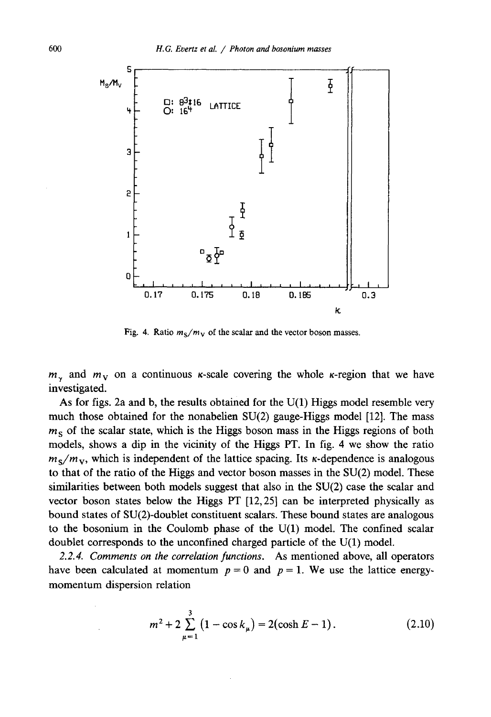

Fig. 4. Ratio  $m_S/m_V$  of the scalar and the vector boson masses.

 $m<sub>y</sub>$  and  $m<sub>y</sub>$  on a continuous  $\kappa$ -scale covering the whole  $\kappa$ -region that we have investigated.

As for figs. 2a and b, the results obtained for the U(1) Higgs model resemble very much those obtained for the nonabelien SU(2) gauge-Higgs model [12]. The mass  $m<sub>S</sub>$  of the scalar state, which is the Higgs boson mass in the Higgs regions of both models, shows a dip in the vicinity of the Higgs PT. In fig. 4 we show the ratio  $m_S/m_V$ , which is independent of the lattice spacing. Its  $\kappa$ -dependence is analogous to that of the ratio of the Higgs and vector boson masses in the SU(2) model. These similarities between both models suggest that also in the SU(2) case the scalar and vector boson states below the Higgs PT [12,25] can be interpreted physically as bound states of SU(2)-doublet constituent scalars. These bound states are analogous to the bosonium in the Coulomb phase of the U(1) model. The confined scalar doublet corresponds to the unconfined charged particle of the U(1) model.

*2.2.4. Comments on the correlation functions.* As mentioned above, all operators have been calculated at momentum  $p = 0$  and  $p = 1$ . We use the lattice energymomentum dispersion relation

$$
m^{2} + 2\sum_{\mu=1}^{3} (1 - \cos k_{\mu}) = 2(\cosh E - 1).
$$
 (2.10)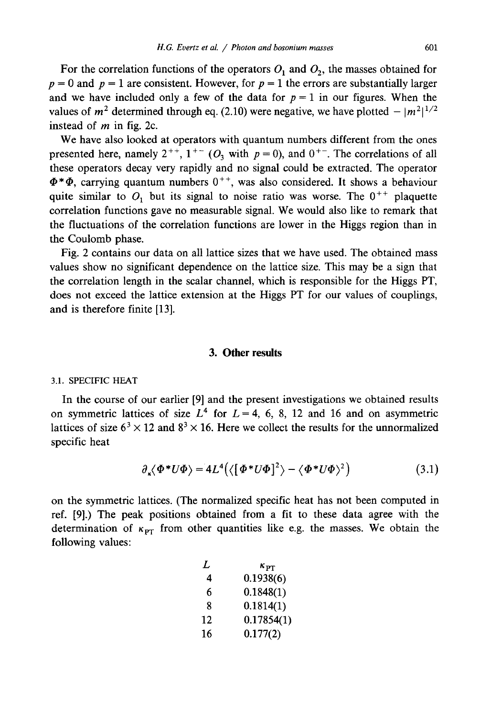For the correlation functions of the operators  $O_1$  and  $O_2$ , the masses obtained for  $p = 0$  and  $p = 1$  are consistent. However, for  $p = 1$  the errors are substantially larger and we have included only a few of the data for  $p = 1$  in our figures. When the values of  $m^2$  determined through eq. (2.10) were negative, we have plotted  $- |m^2|^{1/2}$ instead of  $m$  in fig. 2c.

We have also looked at operators with quantum numbers different from the ones presented here, namely  $2^{++}$ ,  $1^{+-}$  (O<sub>3</sub> with  $p = 0$ ), and  $0^{+-}$ . The correlations of all these operators decay very rapidly and no signal could be extracted. The operator  $\Phi^* \Phi$ , carrying quantum numbers  $0^{++}$ , was also considered. It shows a behaviour quite similar to  $O_1$  but its signal to noise ratio was worse. The  $0^{++}$  plaquette correlation functions gave no measurable signal. We would also like to remark that the fluctuations of the correlation functions are lower in the Higgs region than in the Coulomb phase.

Fig. 2 contains our data on all lattice sizes that we have used. The obtained mass values show no significant dependence on the lattice size. This may be a sign that the correlation length in the scalar channel, which is responsible for the Higgs PT, does not exceed the lattice extension at the Higgs PT for our values of couplings, and is therefore finite [13].

# **3. Other results**

#### 3.1. SPECIFIC HEAT

In the course of our earlier [9] and the present investigations we obtained results on symmetric lattices of size  $L^4$  for  $L = 4, 6, 8, 12$  and 16 and on asymmetric lattices of size  $6<sup>3</sup> \times 12$  and  $8<sup>3</sup> \times 16$ . Here we collect the results for the unnormalized specific heat

$$
\partial_{\kappa} \langle \Phi^* U \Phi \rangle = 4L^4 \big( \langle [\Phi^* U \Phi]^2 \rangle - \langle \Phi^* U \Phi \rangle^2 \big) \tag{3.1}
$$

on the symmetric lattices. (The normalized specific heat has not been computed in ref. [9].) The peak positions obtained from a fit to these data agree with the determination of  $\kappa_{PT}$  from other quantities like e.g. the masses. We obtain the following values:

| L  | $\kappa_{\rm PT}$ |
|----|-------------------|
| 4  | 0.1938(6)         |
| 6  | 0.1848(1)         |
| 8  | 0.1814(1)         |
| 12 | 0.17854(1)        |
| 16 | 0.177(2)          |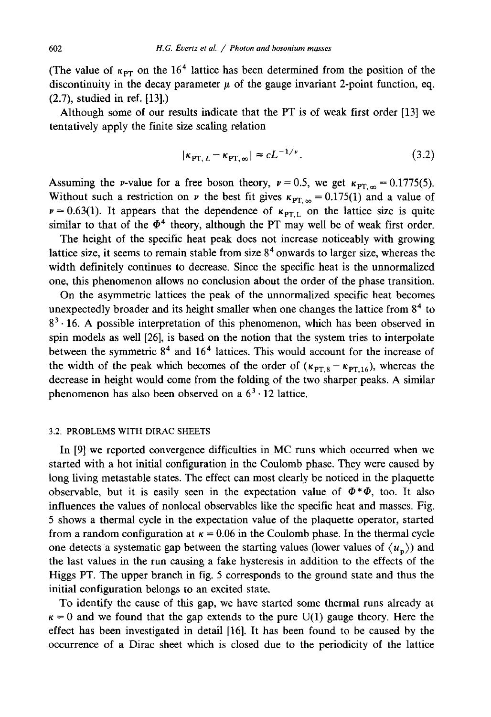(The value of  $\kappa_{PT}$  on the 16<sup>4</sup> lattice has been determined from the position of the discontinuity in the decay parameter  $\mu$  of the gauge invariant 2-point function, eq. (2.7), studied in ref. [13].)

Although some of our results indicate that the PT is of weak first order [13] we tentatively apply the finite size scaling relation

$$
|\kappa_{\text{PT}, L} - \kappa_{\text{PT}, \infty}| \approx c L^{-1/\nu}.
$$
 (3.2)

Assuming the *v*-value for a free boson theory,  $v = 0.5$ , we get  $\kappa_{\text{PT}, \infty} = 0.1775(5)$ . Without such a restriction on  $\nu$  the best fit gives  $\kappa_{PT,\infty} = 0.175(1)$  and a value of  $\nu = 0.63(1)$ . It appears that the dependence of  $\kappa_{\text{PT L}}$  on the lattice size is quite similar to that of the  $\Phi^4$  theory, although the PT may well be of weak first order.

The height of the specific heat peak does not increase noticeably with growing lattice size, it seems to remain stable from size  $8<sup>4</sup>$  onwards to larger size, whereas the width definitely continues to decrease. Since the specific heat is the unnormalized one, this phenomenon allows no conclusion about the order of the phase transition.

On the asymmetric lattices the peak of the unnormalized specific heat becomes unexpectedly broader and its height smaller when one changes the lattice from  $8<sup>4</sup>$  to  $8<sup>3</sup> \cdot 16$ . A possible interpretation of this phenomenon, which has been observed in spin models as well [26], is based on the notion that the system tries to interpolate between the symmetric  $8<sup>4</sup>$  and  $16<sup>4</sup>$  lattices. This would account for the increase of the width of the peak which becomes of the order of  $(\kappa_{PT,8} - \kappa_{PT,16})$ , whereas the decrease in height would come from the folding of the two sharper peaks. A similar phenomenon has also been observed on a  $6<sup>3</sup> \cdot 12$  lattice.

# 3.2. PROBLEMS WITH DIRAC SHEETS

In [9] we reported convergence difficulties in MC runs which occurred when we started with a hot initial configuration in the Coulomb phase. They were caused by long living metastable states. The effect can most clearly be noticed in the plaquette observable, but it is easily seen in the expectation value of  $\Phi^*\Phi$ , too. It also influences the values of nonlocal observables like the specific heat and masses. Fig. 5 shows a thermal cycle in the expectation value of the plaquette operator, started from a random configuration at  $\kappa = 0.06$  in the Coulomb phase. In the thermal cycle one detects a systematic gap between the starting values (lower values of  $\langle u_n \rangle$ ) and the last values in the run causing a fake hysteresis in addition to the effects of the Higgs PT. The upper branch in fig. 5 corresponds to the ground state and thus the initial configuration belongs to an excited state.

To identify the cause of this gap, we have started some thermal runs already at  $\kappa=0$  and we found that the gap extends to the pure U(1) gauge theory. Here the effect has been investigated in detail [16]. It has been found to be caused by the occurrence of a Dirac sheet which is closed due to the periodicity of the lattice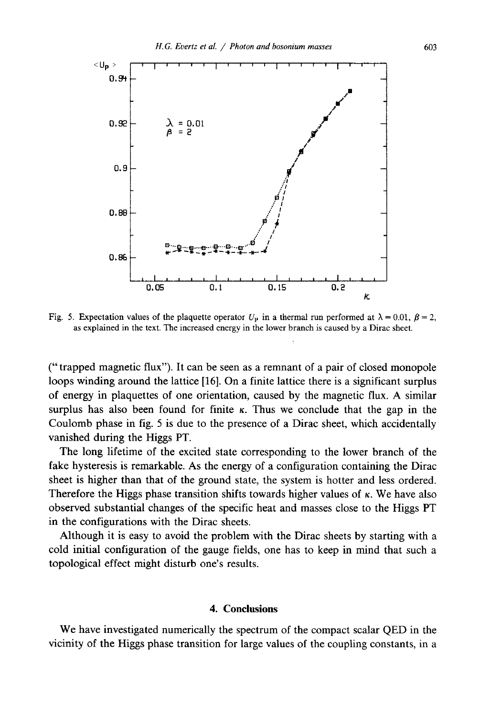

Fig. 5. Expectation values of the plaquette operator  $U_p$  in a thermal run performed at  $\lambda = 0.01$ ,  $\beta = 2$ , as explained in the text. The increased energy in the lower branch is caused by a Dirac sheet.

(" trapped magnetic flux"). It can be seen as a remnant of a pair of closed monopole loops winding around the lattice [16]. On a finite lattice there is a significant surplus of energy in plaquettes of one orientation, caused by the magnetic flux. A similar surplus has also been found for finite  $\kappa$ . Thus we conclude that the gap in the Coulomb phase in fig. 5 is due to the presence of a Dirac sheet, which accidentally vanished during the Higgs PT.

The long lifetime of the excited state corresponding to the lower branch of the fake hysteresis is remarkable. As the energy of a configuration containing the Dirac sheet is higher than that of the ground state, the system is hotter and less ordered. Therefore the Higgs phase transition shifts towards higher values of  $\kappa$ . We have also observed substantial changes of the specific heat and masses close to the Higgs PT in the configurations with the Dirac sheets.

Although it is easy to avoid the problem with the Dirac sheets by starting with a cold initial configuration of the gauge fields, one has to keep in mind that such a topological effect might disturb one's results.

## **4. Conclusions**

We have investigated numerically the spectrum of the compact scalar QED in the vicinity of the Higgs phase transition for large values of the coupling constants, in a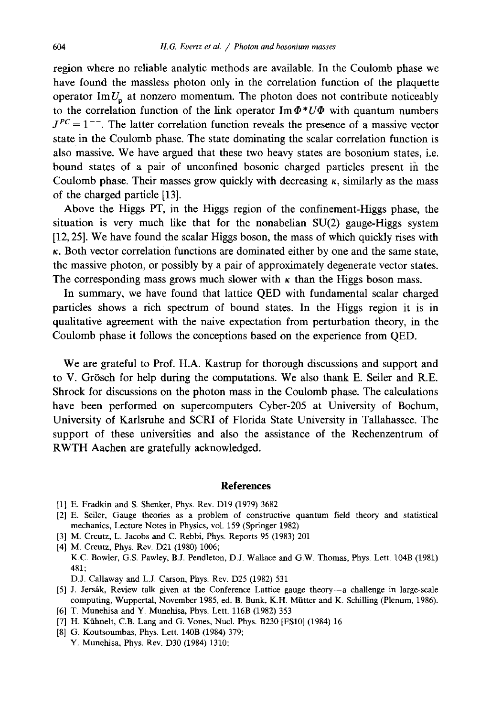region where no reliable analytic methods are available. In the Coulomb phase we have found the massless photon only in the correlation function of the plaquette operator  $\text{Im } U_p$  at nonzero momentum. The photon does not contribute noticeably to the correlation function of the link operator Im  $\Phi^*U\Phi$  with quantum numbers  $J^{PC} = 1^{--}$ . The latter correlation function reveals the presence of a massive vector state in the Coulomb phase. The state dominating the scalar correlation function is also massive. We have argued that these two heavy states are bosonium states, i.e. bound states of a pair of unconfined bosonic charged particles present in the Coulomb phase. Their masses grow quickly with decreasing  $\kappa$ , similarly as the mass of the charged particle [13].

Above the Higgs PT, in the Higgs region of the confinement-Higgs phase, the situation is very much like that for the nonabelian  $SU(2)$  gauge-Higgs system [12, 25]. We have found the scalar Higgs boson, the mass of which quickly rises with  $\kappa$ . Both vector correlation functions are dominated either by one and the same state, the massive photon, or possibly by a pair of approximately degenerate vector states. The corresponding mass grows much slower with  $\kappa$  than the Higgs boson mass.

In summary, we have found that lattice QED with fundamental scalar charged particles shows a rich spectrum of bound states. In the Higgs region it is in qualitative agreement with the naive expectation from perturbation theory, in the Coulomb phase it follows the conceptions based on the experience from QED.

We are grateful to Prof. H.A. Kastrup for thorough discussions and support and to V. Grösch for help during the computations. We also thank E. Seiler and R.E. Shrock for discussions on the photon mass in the Coulomb phase. The calculations have been performed on supercomputers Cyber-205 at University of Bochum, University of Karlsruhe and SCRI of Florida State University in Tallahassee. The support of these universities and also the assistance of the Rechenzentrum of RWTH Aachen are gratefully acknowledged.

## **References**

- [1] E. Fradkin and S. Shenker, Phys. Rev. D19 (1979) 3682
- [2] E. Seiler, Gauge theories as a problem of constructive quantum field theory and statistical mechanics, Lecture Notes in Physics, vol. 159 (Springer 1982)
- [3] M. Creutz, L. Jacobs and C. Rebbi, Phys. Reports 95 (1983) 201
- [4] M. Creutz, Phys. Rev. D21 (1980) 1006; K.C. Bowler, G.S. Pawley, B.J. Pendleton, D.J. Wallace and G.W. Thomas, Phys. Lett. 104B (1981) 481;
	- D.J. Callaway and L.J. Carson, Phys. Rev. D25 (1982) 531
- [5] J. Jersfik, Review talk given at the Conference Lattice gauge theory--a challenge in large-scale computing, Wuppertal, November 1985, ed. B. Bunk, K.H. Miitter and K. Schilling (Plenum, 1986).
- [6] T. Munehisa and Y. Munehisa, Phys. Lett. ll6B (1982) 353
- [7] H. Kiihnelt, C.B. Lang and G. Vones, Nucl. Phys. B230 [FS10] (1984) 16
- [8] G. Koutsoumbas, Phys. Lett. 140B (1984) 379; Y. Munehisa, Phys. Rev. D30 (1984) 1310;